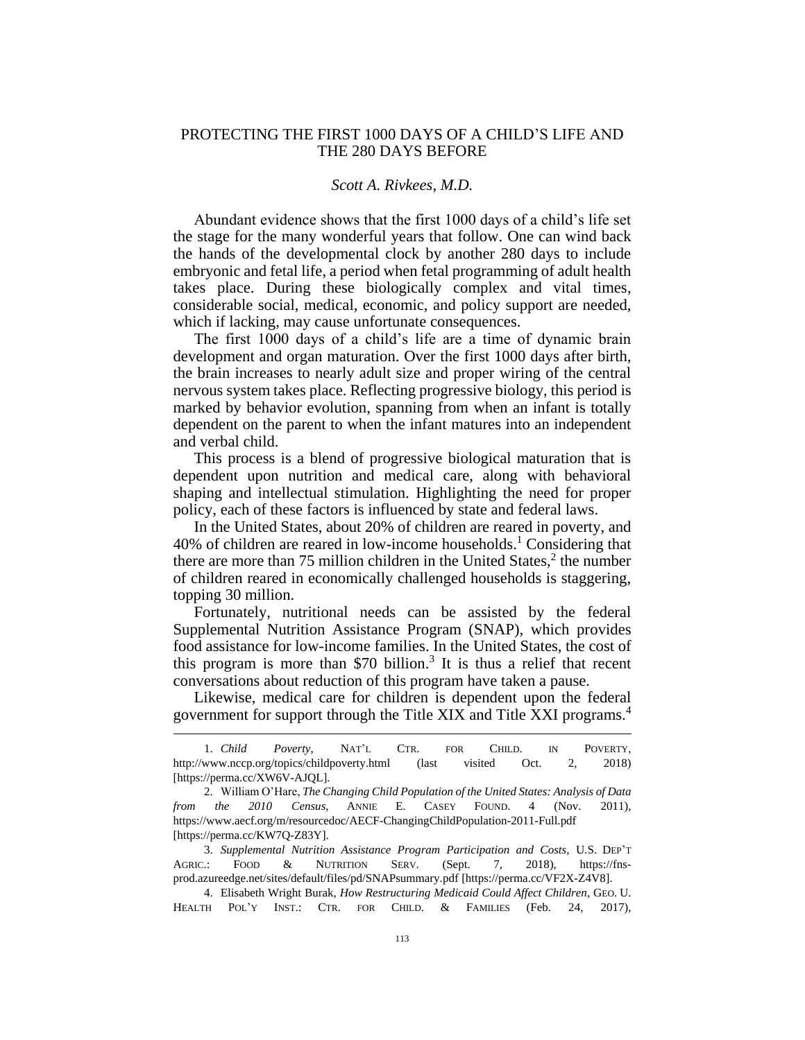## PROTECTING THE FIRST 1000 DAYS OF A CHILD'S LIFE AND THE 280 DAYS BEFORE

## *Scott A. Rivkees, M.D.*

Abundant evidence shows that the first 1000 days of a child's life set the stage for the many wonderful years that follow. One can wind back the hands of the developmental clock by another 280 days to include embryonic and fetal life, a period when fetal programming of adult health takes place. During these biologically complex and vital times, considerable social, medical, economic, and policy support are needed, which if lacking, may cause unfortunate consequences.

The first 1000 days of a child's life are a time of dynamic brain development and organ maturation. Over the first 1000 days after birth, the brain increases to nearly adult size and proper wiring of the central nervous system takes place. Reflecting progressive biology, this period is marked by behavior evolution, spanning from when an infant is totally dependent on the parent to when the infant matures into an independent and verbal child.

This process is a blend of progressive biological maturation that is dependent upon nutrition and medical care, along with behavioral shaping and intellectual stimulation. Highlighting the need for proper policy, each of these factors is influenced by state and federal laws.

In the United States, about 20% of children are reared in poverty, and 40% of children are reared in low-income households.<sup>1</sup> Considering that there are more than 75 million children in the United States, $2$  the number of children reared in economically challenged households is staggering, topping 30 million.

Fortunately, nutritional needs can be assisted by the federal Supplemental Nutrition Assistance Program (SNAP), which provides food assistance for low-income families. In the United States, the cost of this program is more than  $$70$  billion.<sup>3</sup> It is thus a relief that recent conversations about reduction of this program have taken a pause.

Likewise, medical care for children is dependent upon the federal government for support through the Title XIX and Title XXI programs.<sup>4</sup>

 $\overline{a}$ 

<sup>1.</sup> *Child Poverty*, NAT'L CTR. FOR CHILD. IN POVERTY, http://www.nccp.org/topics/childpoverty.html (last visited Oct. 2, 2018) [https://perma.cc/XW6V-AJQL].

<sup>2.</sup> William O'Hare, *The Changing Child Population of the United States: Analysis of Data from the 2010 Census*, ANNIE E. CASEY FOUND. 4 (Nov. 2011), https://www.aecf.org/m/resourcedoc/AECF-ChangingChildPopulation-2011-Full.pdf [https://perma.cc/KW7Q-Z83Y].

<sup>3.</sup> *Supplemental Nutrition Assistance Program Participation and Costs*, U.S. DEP'T AGRIC.: FOOD & NUTRITION SERV. (Sept. 7, 2018), https://fnsprod.azureedge.net/sites/default/files/pd/SNAPsummary.pdf [https://perma.cc/VF2X-Z4V8].

<sup>4.</sup> Elisabeth Wright Burak, *How Restructuring Medicaid Could Affect Children*, GEO. U. HEALTH POL'Y INST.: CTR. FOR CHILD. & FAMILIES (Feb. 24, 2017),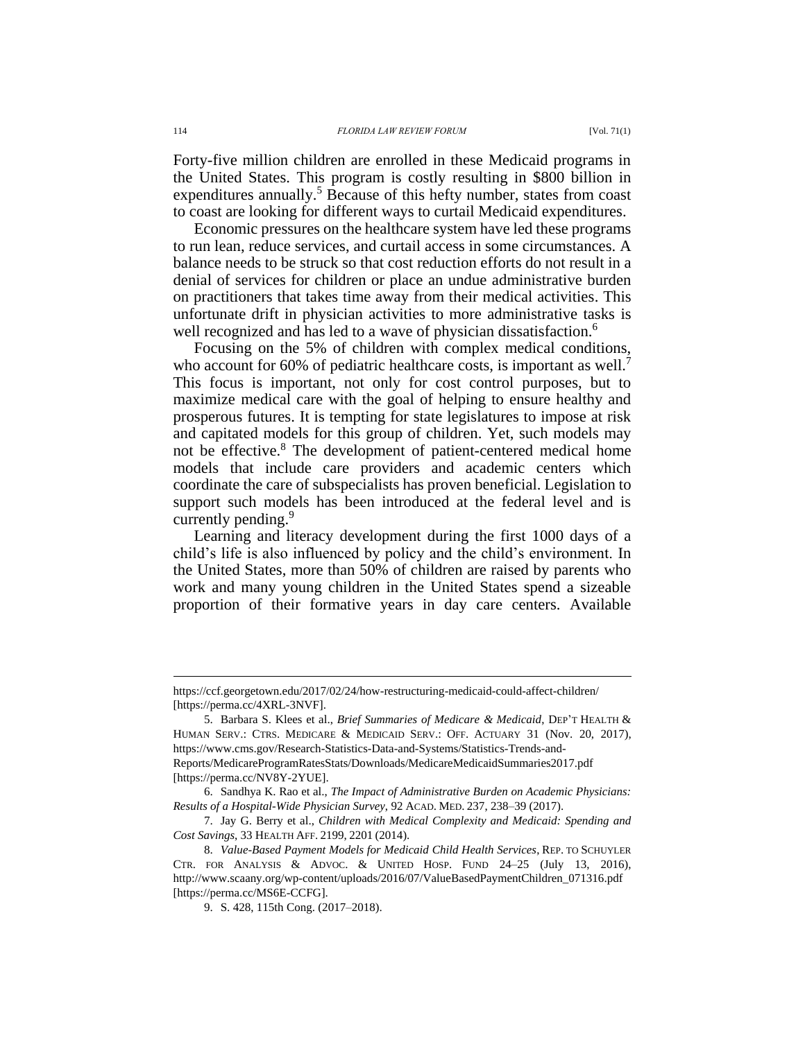Forty-five million children are enrolled in these Medicaid programs in the United States. This program is costly resulting in \$800 billion in expenditures annually.<sup>5</sup> Because of this hefty number, states from coast to coast are looking for different ways to curtail Medicaid expenditures.

Economic pressures on the healthcare system have led these programs to run lean, reduce services, and curtail access in some circumstances. A balance needs to be struck so that cost reduction efforts do not result in a denial of services for children or place an undue administrative burden on practitioners that takes time away from their medical activities. This unfortunate drift in physician activities to more administrative tasks is well recognized and has led to a wave of physician dissatisfaction.<sup>6</sup>

Focusing on the 5% of children with complex medical conditions, who account for 60% of pediatric healthcare costs, is important as well.<sup>7</sup> This focus is important, not only for cost control purposes, but to maximize medical care with the goal of helping to ensure healthy and prosperous futures. It is tempting for state legislatures to impose at risk and capitated models for this group of children. Yet, such models may not be effective.<sup>8</sup> The development of patient-centered medical home models that include care providers and academic centers which coordinate the care of subspecialists has proven beneficial. Legislation to support such models has been introduced at the federal level and is currently pending.<sup>9</sup>

Learning and literacy development during the first 1000 days of a child's life is also influenced by policy and the child's environment. In the United States, more than 50% of children are raised by parents who work and many young children in the United States spend a sizeable proportion of their formative years in day care centers. Available

 $\overline{a}$ 

https://ccf.georgetown.edu/2017/02/24/how-restructuring-medicaid-could-affect-children/ [https://perma.cc/4XRL-3NVF].

<sup>5.</sup> Barbara S. Klees et al., *Brief Summaries of Medicare & Medicaid*, DEP'T HEALTH & HUMAN SERV.: CTRS. MEDICARE & MEDICAID SERV.: OFF. ACTUARY 31 (Nov. 20, 2017), https://www.cms.gov/Research-Statistics-Data-and-Systems/Statistics-Trends-and-Reports/MedicareProgramRatesStats/Downloads/MedicareMedicaidSummaries2017.pdf [https://perma.cc/NV8Y-2YUE].

<sup>6.</sup> Sandhya K. Rao et al., *The Impact of Administrative Burden on Academic Physicians: Results of a Hospital-Wide Physician Survey*, 92 ACAD. MED. 237, 238–39 (2017).

<sup>7.</sup> Jay G. Berry et al., *Children with Medical Complexity and Medicaid: Spending and Cost Savings*, 33 HEALTH AFF. 2199, 2201 (2014).

<sup>8.</sup> *Value-Based Payment Models for Medicaid Child Health Services*, REP. TO SCHUYLER CTR. FOR ANALYSIS & ADVOC. & UNITED HOSP. FUND 24–25 (July 13, 2016), http://www.scaany.org/wp-content/uploads/2016/07/ValueBasedPaymentChildren\_071316.pdf [https://perma.cc/MS6E-CCFG].

<sup>9.</sup> S. 428, 115th Cong. (2017–2018).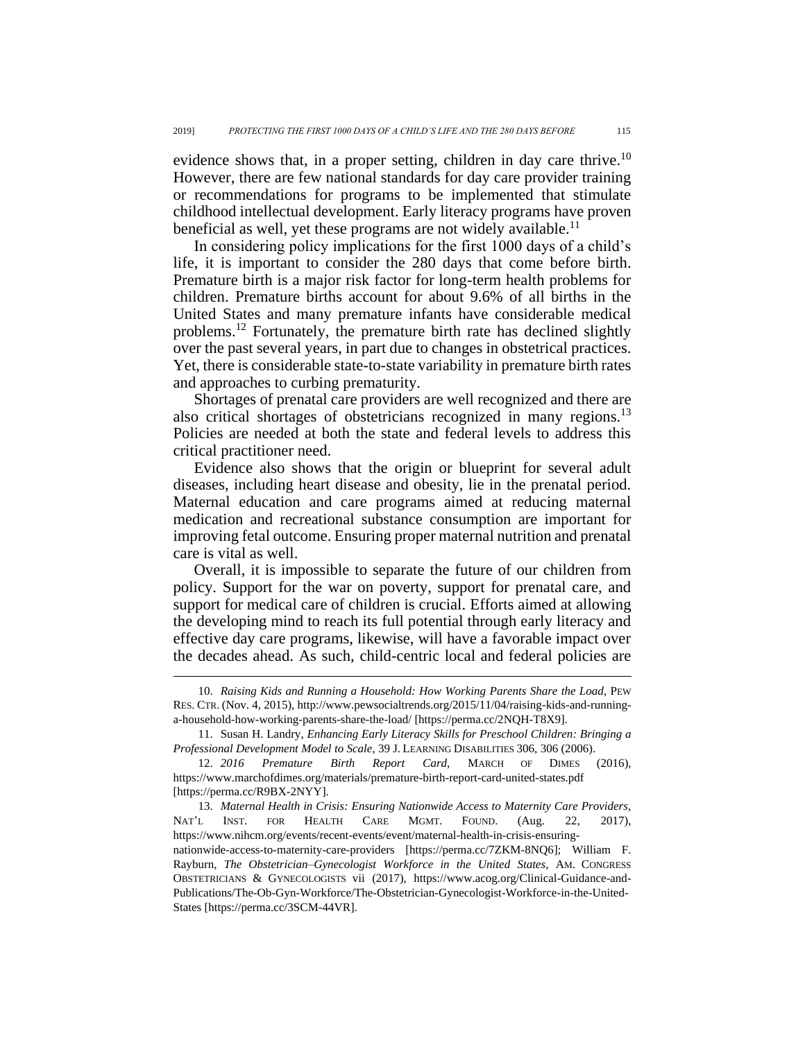evidence shows that, in a proper setting, children in day care thrive.<sup>10</sup> However, there are few national standards for day care provider training or recommendations for programs to be implemented that stimulate childhood intellectual development. Early literacy programs have proven beneficial as well, yet these programs are not widely available.<sup>11</sup>

In considering policy implications for the first 1000 days of a child's life, it is important to consider the 280 days that come before birth. Premature birth is a major risk factor for long-term health problems for children. Premature births account for about 9.6% of all births in the United States and many premature infants have considerable medical problems.<sup>12</sup> Fortunately, the premature birth rate has declined slightly over the past several years, in part due to changes in obstetrical practices. Yet, there is considerable state-to-state variability in premature birth rates and approaches to curbing prematurity.

Shortages of prenatal care providers are well recognized and there are also critical shortages of obstetricians recognized in many regions.<sup>13</sup> Policies are needed at both the state and federal levels to address this critical practitioner need.

Evidence also shows that the origin or blueprint for several adult diseases, including heart disease and obesity, lie in the prenatal period. Maternal education and care programs aimed at reducing maternal medication and recreational substance consumption are important for improving fetal outcome. Ensuring proper maternal nutrition and prenatal care is vital as well.

Overall, it is impossible to separate the future of our children from policy. Support for the war on poverty, support for prenatal care, and support for medical care of children is crucial. Efforts aimed at allowing the developing mind to reach its full potential through early literacy and effective day care programs, likewise, will have a favorable impact over the decades ahead. As such, child-centric local and federal policies are

 $\overline{a}$ 

<sup>10.</sup> *Raising Kids and Running a Household: How Working Parents Share the Load*, PEW RES. CTR. (Nov. 4, 2015), http://www.pewsocialtrends.org/2015/11/04/raising-kids-and-runninga-household-how-working-parents-share-the-load/ [https://perma.cc/2NQH-T8X9].

<sup>11.</sup> Susan H. Landry, *Enhancing Early Literacy Skills for Preschool Children: Bringing a Professional Development Model to Scale*, 39 J. LEARNING DISABILITIES 306, 306 (2006).

<sup>12.</sup> *2016 Premature Birth Report Card*, MARCH OF DIMES (2016), https://www.marchofdimes.org/materials/premature-birth-report-card-united-states.pdf [https://perma.cc/R9BX-2NYY].

<sup>13.</sup> *Maternal Health in Crisis: Ensuring Nationwide Access to Maternity Care Providers*, NAT'L INST. FOR HEALTH CARE MGMT. FOUND. (Aug. 22, 2017), https://www.nihcm.org/events/recent-events/event/maternal-health-in-crisis-ensuringnationwide-access-to-maternity-care-providers [https://perma.cc/7ZKM-8NQ6]; William F. Rayburn, *The Obstetrician–Gynecologist Workforce in the United States*, AM. CONGRESS OBSTETRICIANS & GYNECOLOGISTS vii (2017), https://www.acog.org/Clinical-Guidance-and-Publications/The-Ob-Gyn-Workforce/The-Obstetrician-Gynecologist-Workforce-in-the-United-States [https://perma.cc/3SCM-44VR].